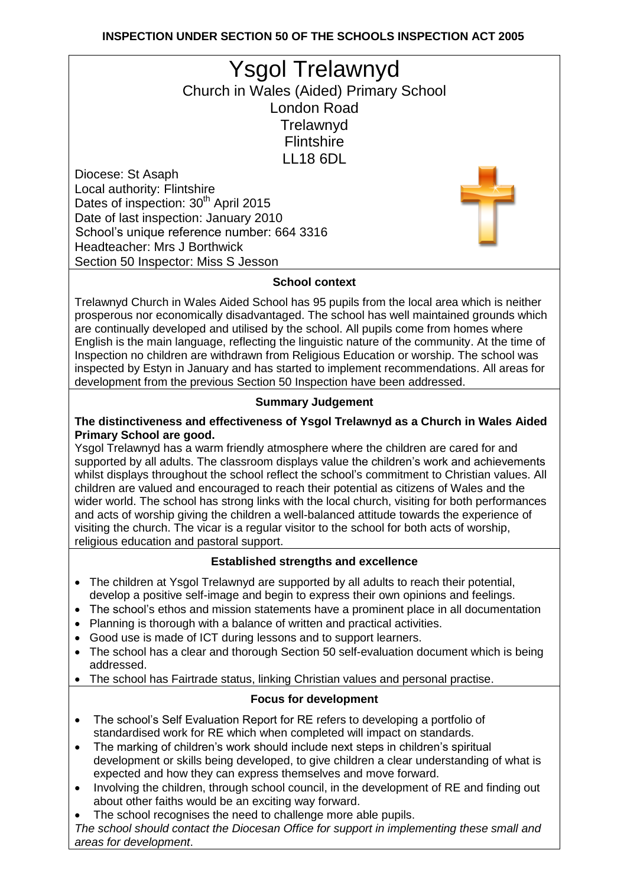# **INSPECTION UNDER SECTION 50 OF THE SCHOOLS INSPECTION ACT 2005**

| <b>Ysgol Trelawnyd</b>                           |  |
|--------------------------------------------------|--|
| Church in Wales (Aided) Primary School           |  |
| <b>London Road</b>                               |  |
| Trelawnyd                                        |  |
| <b>Flintshire</b>                                |  |
| <b>LL18 6DL</b>                                  |  |
| Diocese: St Asaph                                |  |
| Local authority: Flintshire                      |  |
| Dates of inspection: 30 <sup>th</sup> April 2015 |  |
| Date of last inspection: January 2010            |  |
| School's unique reference number: 664 3316       |  |
| <b>Headteacher: Mrs J Borthwick</b>              |  |
| Section 50 Inspector: Miss S Jesson              |  |

### **School context**

Trelawnyd Church in Wales Aided School has 95 pupils from the local area which is neither prosperous nor economically disadvantaged. The school has well maintained grounds which are continually developed and utilised by the school. All pupils come from homes where English is the main language, reflecting the linguistic nature of the community. At the time of Inspection no children are withdrawn from Religious Education or worship. The school was inspected by Estyn in January and has started to implement recommendations. All areas for development from the previous Section 50 Inspection have been addressed.

#### **Summary Judgement**

#### **The distinctiveness and effectiveness of Ysgol Trelawnyd as a Church in Wales Aided Primary School are good.**

Ysgol Trelawnyd has a warm friendly atmosphere where the children are cared for and supported by all adults. The classroom displays value the children's work and achievements whilst displays throughout the school reflect the school's commitment to Christian values. All children are valued and encouraged to reach their potential as citizens of Wales and the wider world. The school has strong links with the local church, visiting for both performances and acts of worship giving the children a well-balanced attitude towards the experience of visiting the church. The vicar is a regular visitor to the school for both acts of worship, religious education and pastoral support.

#### **Established strengths and excellence**

- The children at Ysgol Trelawnyd are supported by all adults to reach their potential, develop a positive self-image and begin to express their own opinions and feelings.
- The school's ethos and mission statements have a prominent place in all documentation
- Planning is thorough with a balance of written and practical activities.
- Good use is made of ICT during lessons and to support learners.
- The school has a clear and thorough Section 50 self-evaluation document which is being addressed.
- The school has Fairtrade status, linking Christian values and personal practise.

## **Focus for development**

- The school's Self Evaluation Report for RE refers to developing a portfolio of standardised work for RE which when completed will impact on standards.
- The marking of children's work should include next steps in children's spiritual development or skills being developed, to give children a clear understanding of what is expected and how they can express themselves and move forward.
- Involving the children, through school council, in the development of RE and finding out about other faiths would be an exciting way forward.
- The school recognises the need to challenge more able pupils.

*The school should contact the Diocesan Office for support in implementing these small and areas for development*.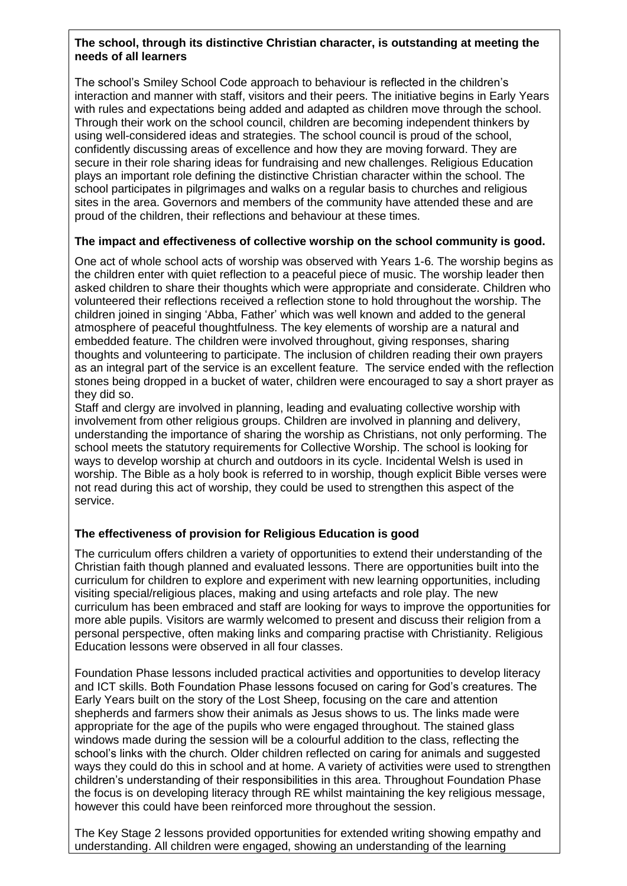#### **The school, through its distinctive Christian character, is outstanding at meeting the needs of all learners**

The school's Smiley School Code approach to behaviour is reflected in the children's interaction and manner with staff, visitors and their peers. The initiative begins in Early Years with rules and expectations being added and adapted as children move through the school. Through their work on the school council, children are becoming independent thinkers by using well-considered ideas and strategies. The school council is proud of the school, confidently discussing areas of excellence and how they are moving forward. They are secure in their role sharing ideas for fundraising and new challenges. Religious Education plays an important role defining the distinctive Christian character within the school. The school participates in pilgrimages and walks on a regular basis to churches and religious sites in the area. Governors and members of the community have attended these and are proud of the children, their reflections and behaviour at these times.

### **The impact and effectiveness of collective worship on the school community is good.**

One act of whole school acts of worship was observed with Years 1-6. The worship begins as the children enter with quiet reflection to a peaceful piece of music. The worship leader then asked children to share their thoughts which were appropriate and considerate. Children who volunteered their reflections received a reflection stone to hold throughout the worship. The children joined in singing 'Abba, Father' which was well known and added to the general atmosphere of peaceful thoughtfulness. The key elements of worship are a natural and embedded feature. The children were involved throughout, giving responses, sharing thoughts and volunteering to participate. The inclusion of children reading their own prayers as an integral part of the service is an excellent feature. The service ended with the reflection stones being dropped in a bucket of water, children were encouraged to say a short prayer as they did so.

Staff and clergy are involved in planning, leading and evaluating collective worship with involvement from other religious groups. Children are involved in planning and delivery, understanding the importance of sharing the worship as Christians, not only performing. The school meets the statutory requirements for Collective Worship. The school is looking for ways to develop worship at church and outdoors in its cycle. Incidental Welsh is used in worship. The Bible as a holy book is referred to in worship, though explicit Bible verses were not read during this act of worship, they could be used to strengthen this aspect of the service.

## **The effectiveness of provision for Religious Education is good**

The curriculum offers children a variety of opportunities to extend their understanding of the Christian faith though planned and evaluated lessons. There are opportunities built into the curriculum for children to explore and experiment with new learning opportunities, including visiting special/religious places, making and using artefacts and role play. The new curriculum has been embraced and staff are looking for ways to improve the opportunities for more able pupils. Visitors are warmly welcomed to present and discuss their religion from a personal perspective, often making links and comparing practise with Christianity. Religious Education lessons were observed in all four classes.

Foundation Phase lessons included practical activities and opportunities to develop literacy and ICT skills. Both Foundation Phase lessons focused on caring for God's creatures. The Early Years built on the story of the Lost Sheep, focusing on the care and attention shepherds and farmers show their animals as Jesus shows to us. The links made were appropriate for the age of the pupils who were engaged throughout. The stained glass windows made during the session will be a colourful addition to the class, reflecting the school's links with the church. Older children reflected on caring for animals and suggested ways they could do this in school and at home. A variety of activities were used to strengthen children's understanding of their responsibilities in this area. Throughout Foundation Phase the focus is on developing literacy through RE whilst maintaining the key religious message, however this could have been reinforced more throughout the session.

The Key Stage 2 lessons provided opportunities for extended writing showing empathy and understanding. All children were engaged, showing an understanding of the learning